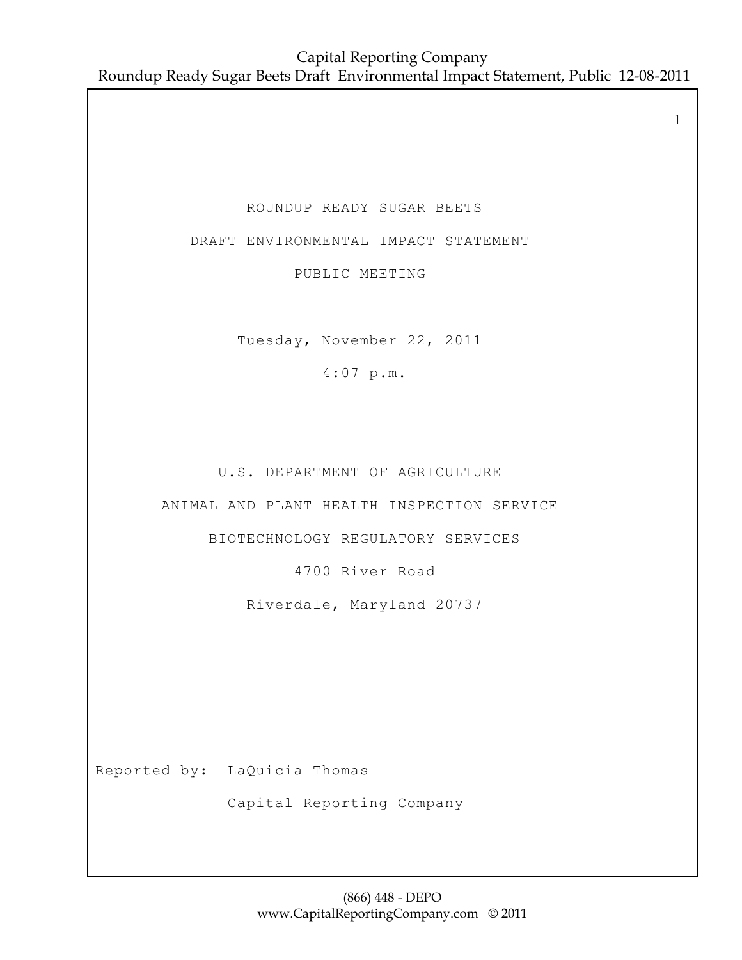ROUNDUP READY SUGAR BEETS

DRAFT ENVIRONMENTAL IMPACT STATEMENT

PUBLIC MEETING

Tuesday, November 22, 2011

4:07 p.m.

U.S. DEPARTMENT OF AGRICULTURE

ANIMAL AND PLANT HEALTH INSPECTION SERVICE

BIOTECHNOLOGY REGULATORY SERVICES

4700 River Road

Riverdale, Maryland 20737

Reported by: LaQuicia Thomas

Capital Reporting Company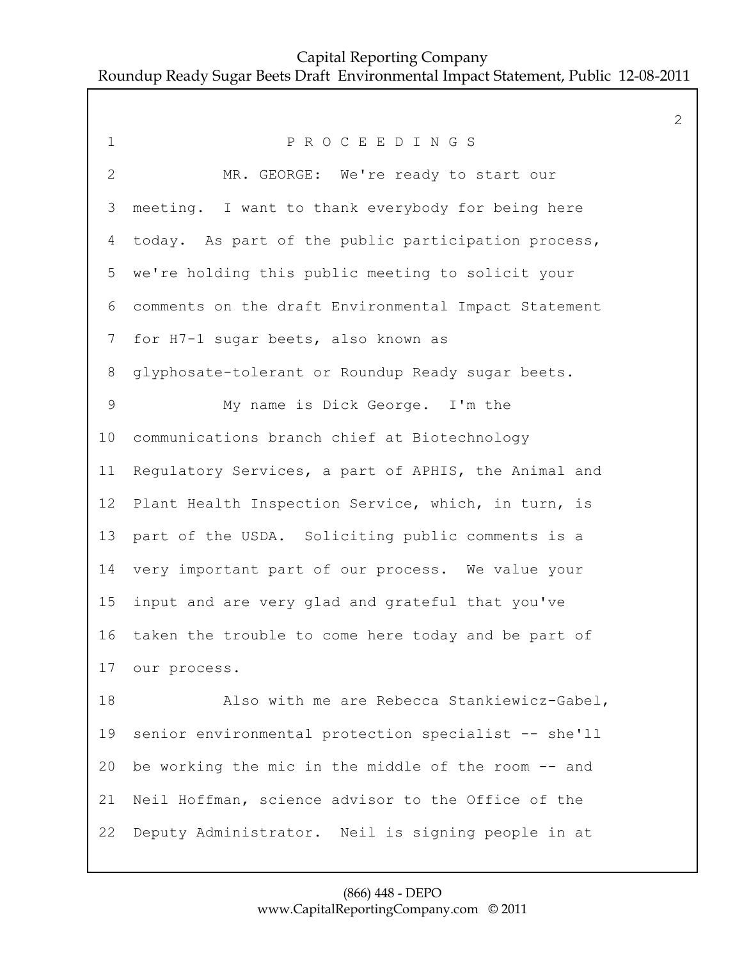1 P R O C E E D I N G S 2 MR. GEORGE: We're ready to start our meeting. I want to thank everybody for being here today. As part of the public participation process, we're holding this public meeting to solicit your comments on the draft Environmental Impact Statement for H7-1 sugar beets, also known as glyphosate-tolerant or Roundup Ready sugar beets. 9 My name is Dick George. I'm the communications branch chief at Biotechnology Regulatory Services, a part of APHIS, the Animal and Plant Health Inspection Service, which, in turn, is part of the USDA. Soliciting public comments is a very important part of our process. We value your input and are very glad and grateful that you've taken the trouble to come here today and be part of our process. 18 Also with me are Rebecca Stankiewicz-Gabel, senior environmental protection specialist -- she'll be working the mic in the middle of the room -- and Neil Hoffman, science advisor to the Office of the Deputy Administrator. Neil is signing people in at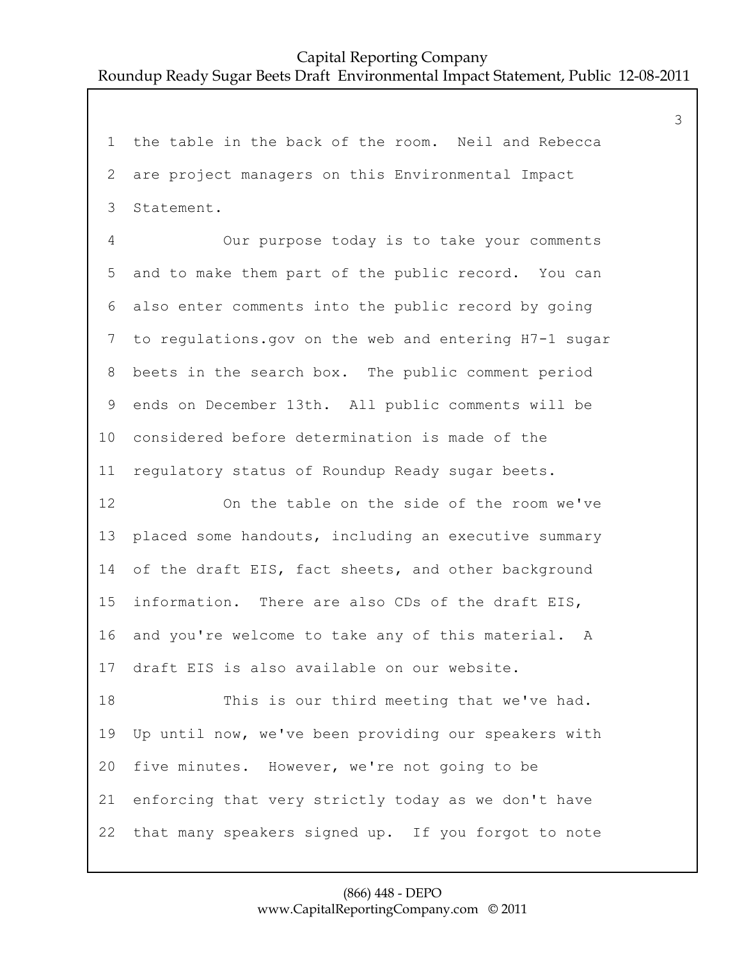the table in the back of the room. Neil and Rebecca are project managers on this Environmental Impact Statement.

4 Our purpose today is to take your comments and to make them part of the public record. You can also enter comments into the public record by going to regulations.gov on the web and entering H7-1 sugar beets in the search box. The public comment period ends on December 13th. All public comments will be considered before determination is made of the regulatory status of Roundup Ready sugar beets.

12 On the table on the side of the room we've placed some handouts, including an executive summary of the draft EIS, fact sheets, and other background information. There are also CDs of the draft EIS, and you're welcome to take any of this material. A draft EIS is also available on our website.

18 This is our third meeting that we've had. Up until now, we've been providing our speakers with five minutes. However, we're not going to be enforcing that very strictly today as we don't have that many speakers signed up. If you forgot to note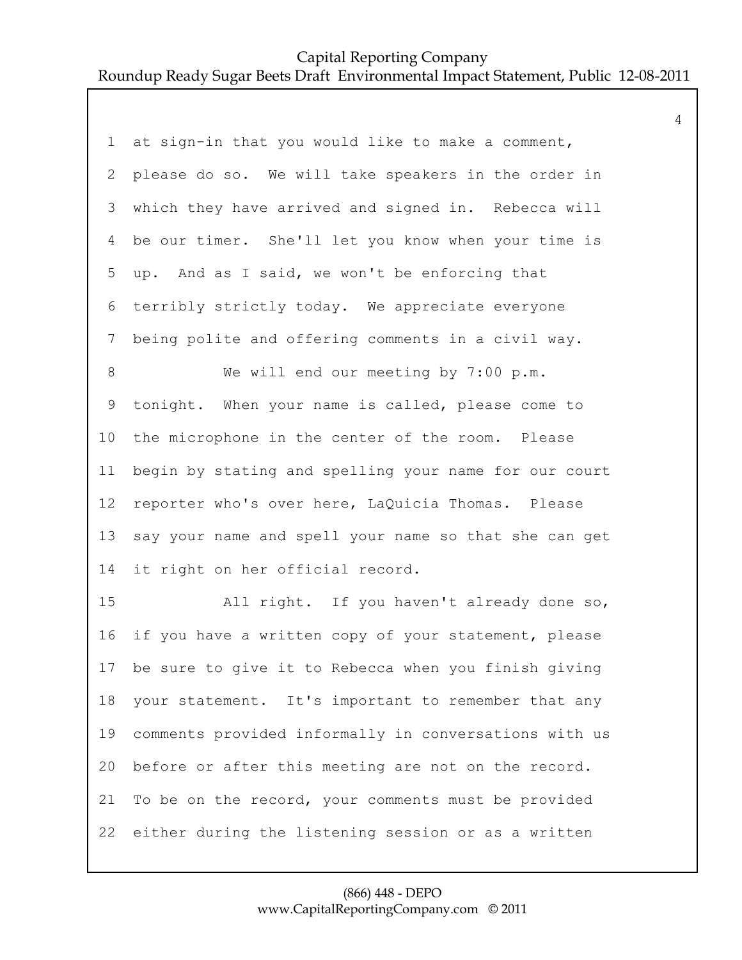| 1               | at sign-in that you would like to make a comment,       |
|-----------------|---------------------------------------------------------|
| 2               | please do so. We will take speakers in the order in     |
| 3               | which they have arrived and signed in. Rebecca will     |
| 4               | be our timer. She'll let you know when your time is     |
| 5               | up. And as I said, we won't be enforcing that           |
| 6               | terribly strictly today. We appreciate everyone         |
| 7               | being polite and offering comments in a civil way.      |
| 8               | We will end our meeting by 7:00 p.m.                    |
| 9               | tonight. When your name is called, please come to       |
| 10 <sub>o</sub> | the microphone in the center of the room. Please        |
| 11              | begin by stating and spelling your name for our court   |
| 12              | reporter who's over here, LaQuicia Thomas. Please       |
| 13              | say your name and spell your name so that she can get   |
| 14              | it right on her official record.                        |
| 15              | All right. If you haven't already done so,              |
| 16              | if you have a written copy of your statement, please    |
|                 | 17 be sure to give it to Rebecca when you finish giving |
| 18              | your statement. It's important to remember that any     |
| 19              | comments provided informally in conversations with us   |
| 20              | before or after this meeting are not on the record.     |
| 21              | To be on the record, your comments must be provided     |
| 22              | either during the listening session or as a written     |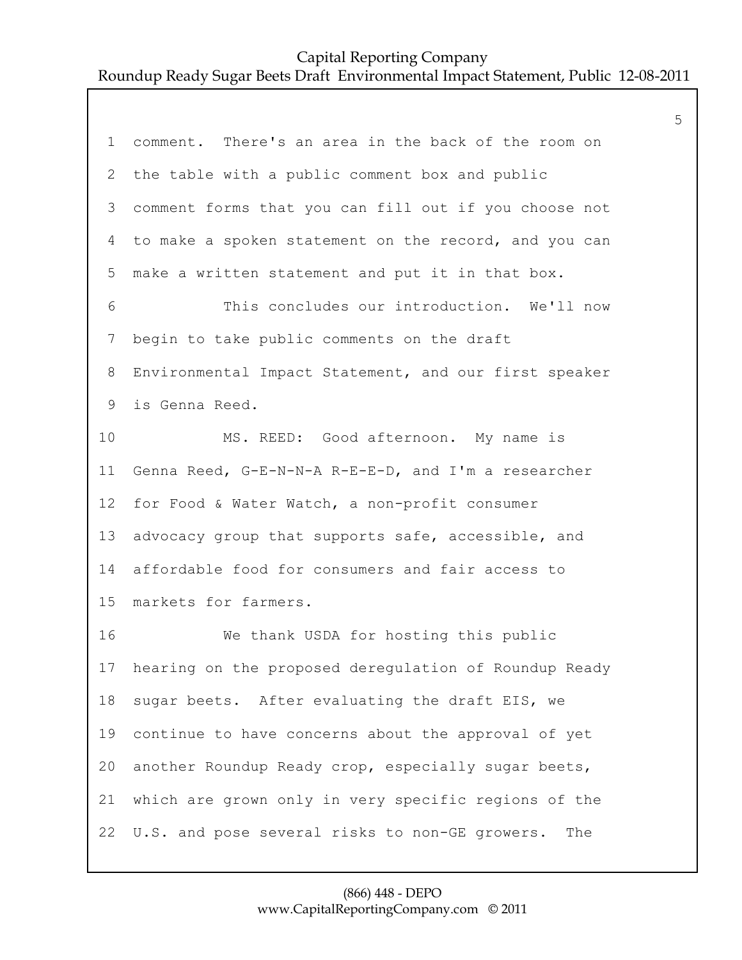| $\mathbf 1$     | comment. There's an area in the back of the room on      |
|-----------------|----------------------------------------------------------|
| 2               | the table with a public comment box and public           |
| 3               | comment forms that you can fill out if you choose not    |
| 4               | to make a spoken statement on the record, and you can    |
| 5               | make a written statement and put it in that box.         |
| 6               | This concludes our introduction. We'll now               |
| 7               | begin to take public comments on the draft               |
| 8               | Environmental Impact Statement, and our first speaker    |
| 9               | is Genna Reed.                                           |
| 10              | MS. REED: Good afternoon. My name is                     |
| 11              | Genna Reed, G-E-N-N-A R-E-E-D, and I'm a researcher      |
| 12 <sup>°</sup> | for Food & Water Watch, a non-profit consumer            |
| 13              | advocacy group that supports safe, accessible, and       |
| 14              | affordable food for consumers and fair access to         |
| 15              | markets for farmers.                                     |
| 16              | We thank USDA for hosting this public                    |
|                 | 17 hearing on the proposed deregulation of Roundup Ready |
| 18              | sugar beets. After evaluating the draft EIS, we          |
| 19              | continue to have concerns about the approval of yet      |
| 20              | another Roundup Ready crop, especially sugar beets,      |
| 21              | which are grown only in very specific regions of the     |
| 22              | U.S. and pose several risks to non-GE growers.<br>The    |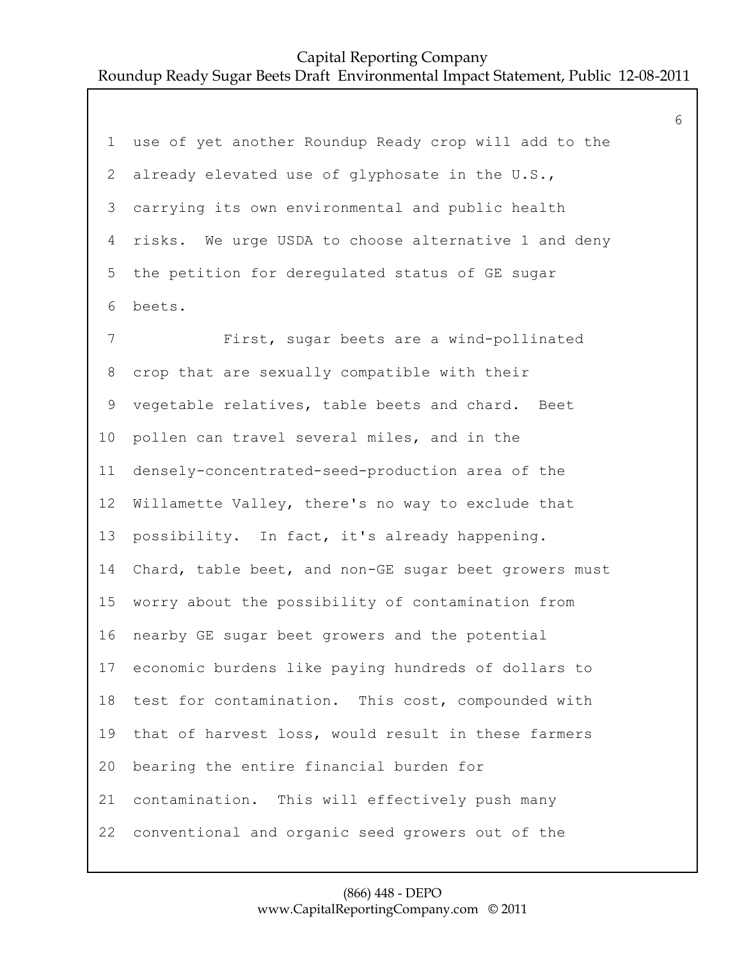use of yet another Roundup Ready crop will add to the already elevated use of glyphosate in the U.S., carrying its own environmental and public health risks. We urge USDA to choose alternative 1 and deny the petition for deregulated status of GE sugar beets. 7 First, sugar beets are a wind-pollinated crop that are sexually compatible with their vegetable relatives, table beets and chard. Beet pollen can travel several miles, and in the densely-concentrated-seed-production area of the Willamette Valley, there's no way to exclude that possibility. In fact, it's already happening. Chard, table beet, and non-GE sugar beet growers must worry about the possibility of contamination from nearby GE sugar beet growers and the potential economic burdens like paying hundreds of dollars to test for contamination. This cost, compounded with that of harvest loss, would result in these farmers bearing the entire financial burden for contamination. This will effectively push many conventional and organic seed growers out of the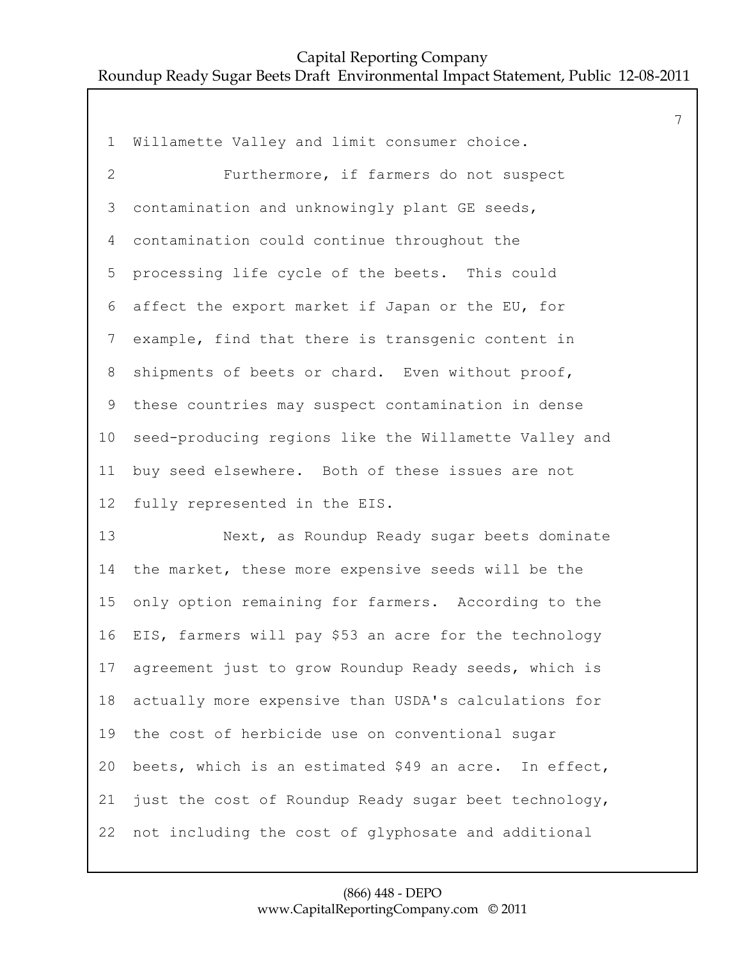Willamette Valley and limit consumer choice. 2 Furthermore, if farmers do not suspect contamination and unknowingly plant GE seeds, contamination could continue throughout the processing life cycle of the beets. This could affect the export market if Japan or the EU, for example, find that there is transgenic content in shipments of beets or chard. Even without proof, these countries may suspect contamination in dense seed-producing regions like the Willamette Valley and buy seed elsewhere. Both of these issues are not fully represented in the EIS. 13 Next, as Roundup Ready sugar beets dominate the market, these more expensive seeds will be the only option remaining for farmers. According to the EIS, farmers will pay \$53 an acre for the technology agreement just to grow Roundup Ready seeds, which is actually more expensive than USDA's calculations for the cost of herbicide use on conventional sugar beets, which is an estimated \$49 an acre. In effect, just the cost of Roundup Ready sugar beet technology,

not including the cost of glyphosate and additional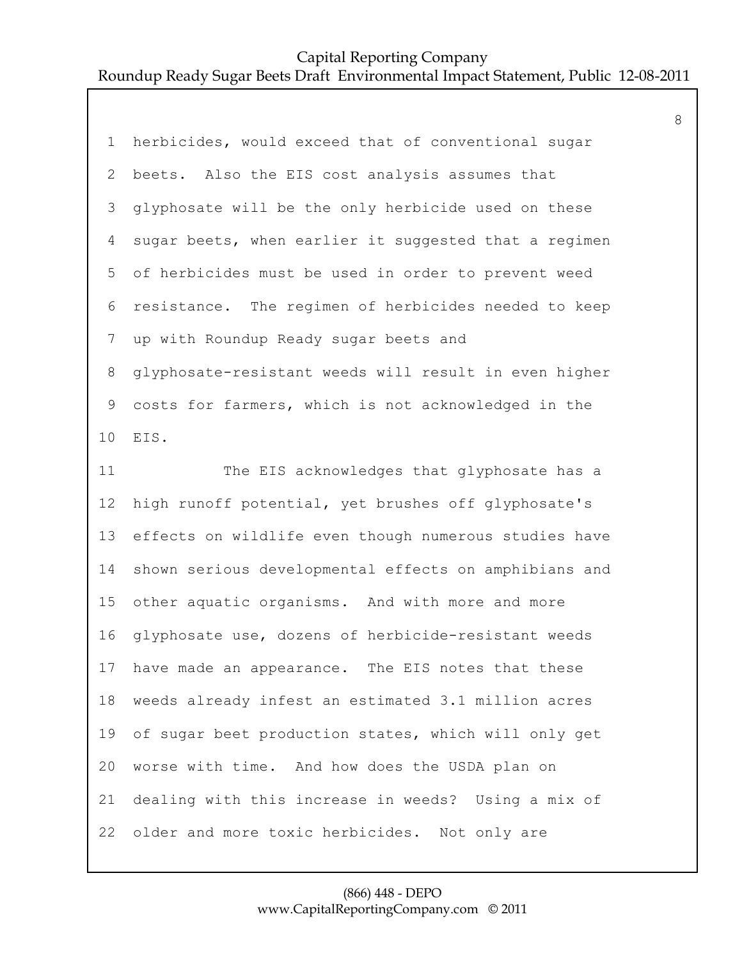| $\mathbf 1$  | herbicides, would exceed that of conventional sugar   |
|--------------|-------------------------------------------------------|
| $\mathbf{2}$ | beets. Also the EIS cost analysis assumes that        |
| 3            | glyphosate will be the only herbicide used on these   |
| 4            | sugar beets, when earlier it suggested that a regimen |
| 5            | of herbicides must be used in order to prevent weed   |
| $\sqrt{6}$   | resistance. The regimen of herbicides needed to keep  |
| 7            | up with Roundup Ready sugar beets and                 |
| 8            | glyphosate-resistant weeds will result in even higher |
| $\mathsf 9$  | costs for farmers, which is not acknowledged in the   |
| 10           | EIS.                                                  |
| 11           | The EIS acknowledges that glyphosate has a            |
|              |                                                       |
| 12           | high runoff potential, yet brushes off glyphosate's   |
| 13           | effects on wildlife even though numerous studies have |
| 14           | shown serious developmental effects on amphibians and |
| 15           | other aquatic organisms. And with more and more       |
| 16           | glyphosate use, dozens of herbicide-resistant weeds   |
| 17           | have made an appearance. The EIS notes that these     |
| 18           | weeds already infest an estimated 3.1 million acres   |
| 19           | of sugar beet production states, which will only get  |
| 20           | worse with time. And how does the USDA plan on        |
| 21           | dealing with this increase in weeds? Using a mix of   |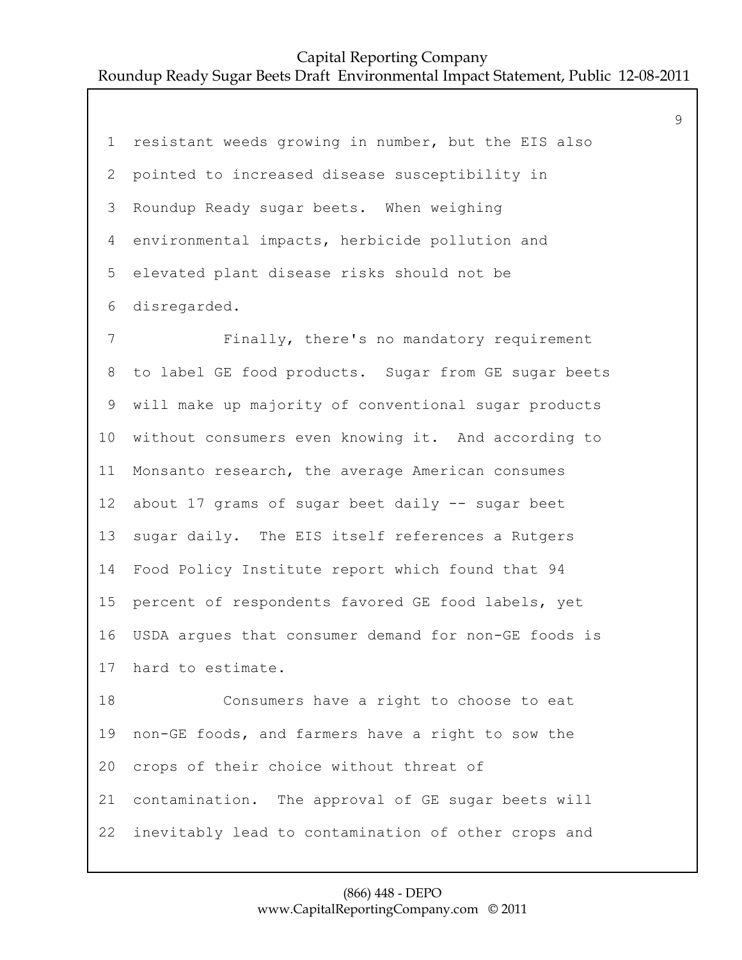| $\mathbf 1$     | resistant weeds growing in number, but the EIS also  |
|-----------------|------------------------------------------------------|
| 2               | pointed to increased disease susceptibility in       |
| 3               | Roundup Ready sugar beets. When weighing             |
| 4               | environmental impacts, herbicide pollution and       |
| 5               | elevated plant disease risks should not be           |
| 6               | disregarded.                                         |
| $\overline{7}$  | Finally, there's no mandatory requirement            |
| 8               | to label GE food products. Sugar from GE sugar beets |
| 9               | will make up majority of conventional sugar products |
| 10              | without consumers even knowing it. And according to  |
| 11              | Monsanto research, the average American consumes     |
| 12              | about 17 grams of sugar beet daily -- sugar beet     |
| 13              | sugar daily. The EIS itself references a Rutgers     |
| 14              | Food Policy Institute report which found that 94     |
| 15 <sub>1</sub> | percent of respondents favored GE food labels, yet   |
| 16              | USDA argues that consumer demand for non-GE foods is |
|                 | 17 hard to estimate.                                 |
| 18              | Consumers have a right to choose to eat              |
| 19              | non-GE foods, and farmers have a right to sow the    |
| 20              | crops of their choice without threat of              |
| 21              | contamination. The approval of GE sugar beets will   |
| 22              | inevitably lead to contamination of other crops and  |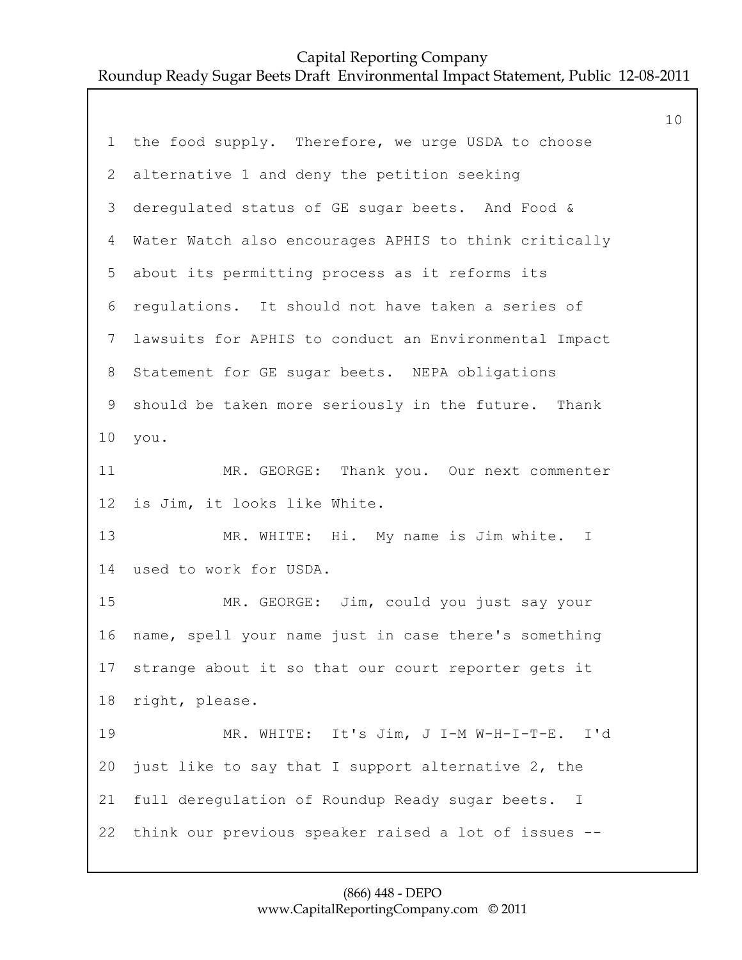| $1 -$                     | the food supply. Therefore, we urge USDA to choose     |
|---------------------------|--------------------------------------------------------|
| $\mathbf{2}^{\mathsf{I}}$ | alternative 1 and deny the petition seeking            |
| 3                         | deregulated status of GE sugar beets. And Food &       |
| 4                         | Water Watch also encourages APHIS to think critically  |
| 5                         | about its permitting process as it reforms its         |
| 6                         | regulations. It should not have taken a series of      |
| $7\overline{ }$           | lawsuits for APHIS to conduct an Environmental Impact  |
| 8                         | Statement for GE sugar beets. NEPA obligations         |
| 9                         | should be taken more seriously in the future. Thank    |
| 10                        | you.                                                   |
| 11                        | MR. GEORGE: Thank you. Our next commenter              |
| 12 <sup>°</sup>           | is Jim, it looks like White.                           |
| 13                        | MR. WHITE: Hi. My name is Jim white. I                 |
| 14                        | used to work for USDA.                                 |
| 15                        | MR. GEORGE: Jim, could you just say your               |
| 16                        | name, spell your name just in case there's something   |
|                           | 17 strange about it so that our court reporter gets it |
| 18                        | right, please.                                         |
| 19                        | MR. WHITE: It's Jim, J I-M W-H-I-T-E. I'd              |
| 20                        | just like to say that I support alternative 2, the     |
| 21                        | full deregulation of Roundup Ready sugar beets. I      |
| 22                        | think our previous speaker raised a lot of issues --   |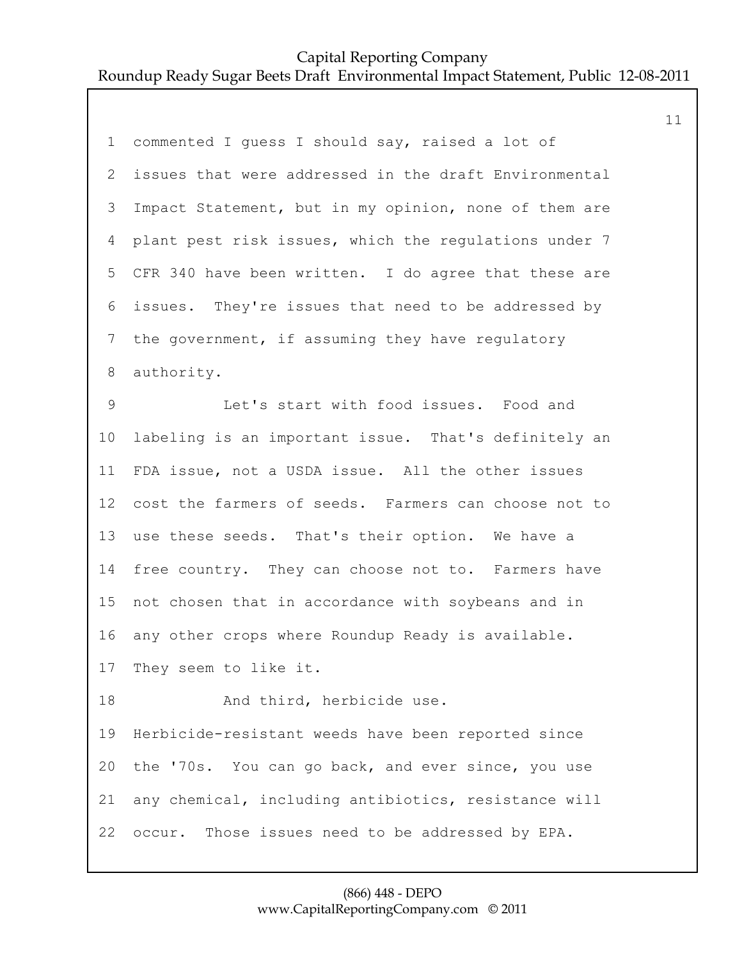| $\mathbf 1$ | commented I guess I should say, raised a lot of       |
|-------------|-------------------------------------------------------|
| 2           | issues that were addressed in the draft Environmental |
| 3           | Impact Statement, but in my opinion, none of them are |
| 4           | plant pest risk issues, which the regulations under 7 |
| 5           | CFR 340 have been written. I do agree that these are  |
| 6           | issues. They're issues that need to be addressed by   |
| 7           | the government, if assuming they have regulatory      |
| 8           | authority.                                            |
| $\mathsf 9$ | Let's start with food issues. Food and                |
| 10          | labeling is an important issue. That's definitely an  |
| 11          | FDA issue, not a USDA issue. All the other issues     |
| 12          | cost the farmers of seeds. Farmers can choose not to  |
| 13          | use these seeds. That's their option. We have a       |
| 14          | free country. They can choose not to. Farmers have    |
| 15          | not chosen that in accordance with soybeans and in    |
| 16          | any other crops where Roundup Ready is available.     |
|             | 17 They seem to like it.                              |
| 18          | And third, herbicide use.                             |
| 19          | Herbicide-resistant weeds have been reported since    |
| 20          | the '70s. You can go back, and ever since, you use    |
| 21          | any chemical, including antibiotics, resistance will  |
| 22          | Those issues need to be addressed by EPA.<br>occur.   |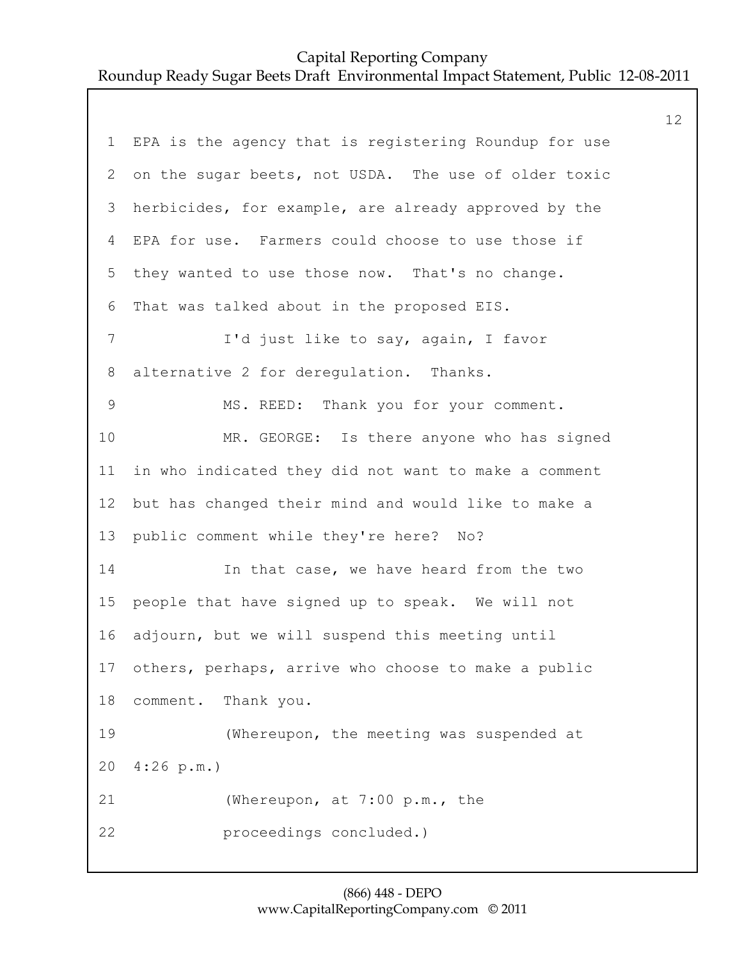|             |                                                       | 12 |
|-------------|-------------------------------------------------------|----|
| $\mathbf 1$ | EPA is the agency that is registering Roundup for use |    |
| 2           | on the sugar beets, not USDA. The use of older toxic  |    |
| 3           | herbicides, for example, are already approved by the  |    |
| 4           | EPA for use. Farmers could choose to use those if     |    |
| 5           | they wanted to use those now. That's no change.       |    |
| 6           | That was talked about in the proposed EIS.            |    |
| 7           | I'd just like to say, again, I favor                  |    |
| 8           | alternative 2 for derequlation. Thanks.               |    |
| $\mathsf 9$ | MS. REED: Thank you for your comment.                 |    |
| 10          | MR. GEORGE: Is there anyone who has signed            |    |
| 11          | in who indicated they did not want to make a comment  |    |
| 12          | but has changed their mind and would like to make a   |    |
| 13          | public comment while they're here? No?                |    |
| 14          | In that case, we have heard from the two              |    |
| 15          | people that have signed up to speak. We will not      |    |
| 16          | adjourn, but we will suspend this meeting until       |    |
| 17          | others, perhaps, arrive who choose to make a public   |    |
| 18          | comment. Thank you.                                   |    |
| 19          | (Whereupon, the meeting was suspended at              |    |
| 20          | 4:26 p.m.                                             |    |
| 21          | (Whereupon, at 7:00 p.m., the                         |    |
| 22          | proceedings concluded.)                               |    |
|             |                                                       |    |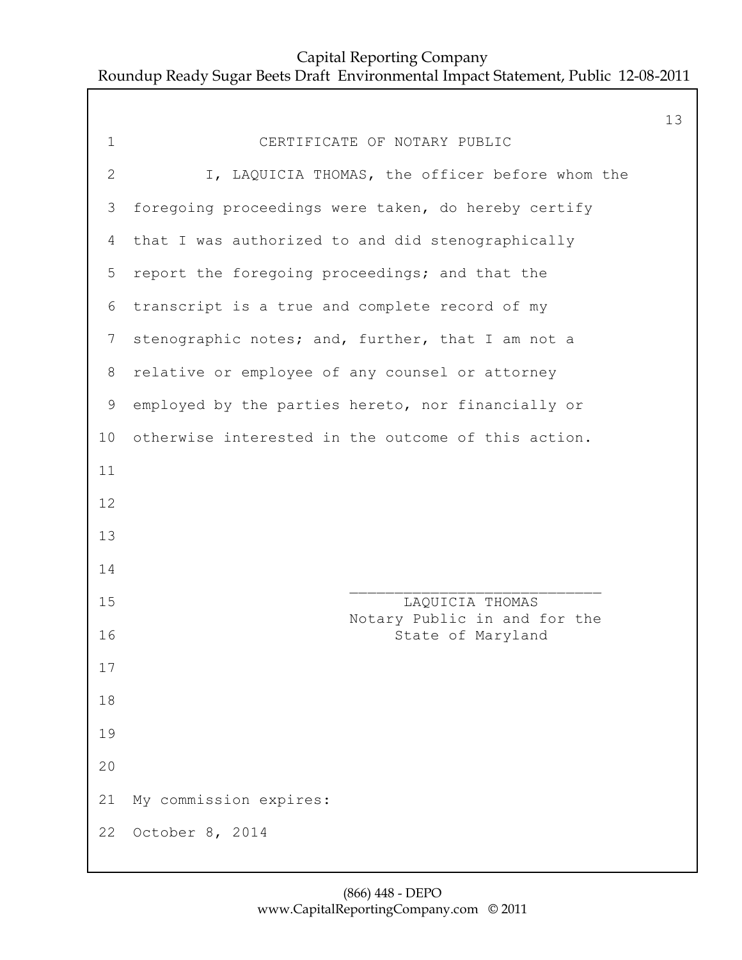|                |                                                     | 13 |
|----------------|-----------------------------------------------------|----|
| $\mathbf 1$    | CERTIFICATE OF NOTARY PUBLIC                        |    |
| $\overline{2}$ | I, LAQUICIA THOMAS, the officer before whom the     |    |
| 3              | foregoing proceedings were taken, do hereby certify |    |
| 4              | that I was authorized to and did stenographically   |    |
| 5              | report the foregoing proceedings; and that the      |    |
| 6              | transcript is a true and complete record of my      |    |
| $7\phantom{.}$ | stenographic notes; and, further, that I am not a   |    |
| 8              | relative or employee of any counsel or attorney     |    |
| 9              | employed by the parties hereto, nor financially or  |    |
| 10             | otherwise interested in the outcome of this action. |    |
| 11             |                                                     |    |
| 12             |                                                     |    |
| 13             |                                                     |    |
| 14             |                                                     |    |
| 15             | LAQUICIA THOMAS<br>Notary Public in and for the     |    |
| 16             | State of Maryland                                   |    |
| 17             |                                                     |    |
| 18             |                                                     |    |
| 19             |                                                     |    |
| 20             |                                                     |    |
| 21             | My commission expires:                              |    |
| 22             | October 8, 2014                                     |    |
|                |                                                     |    |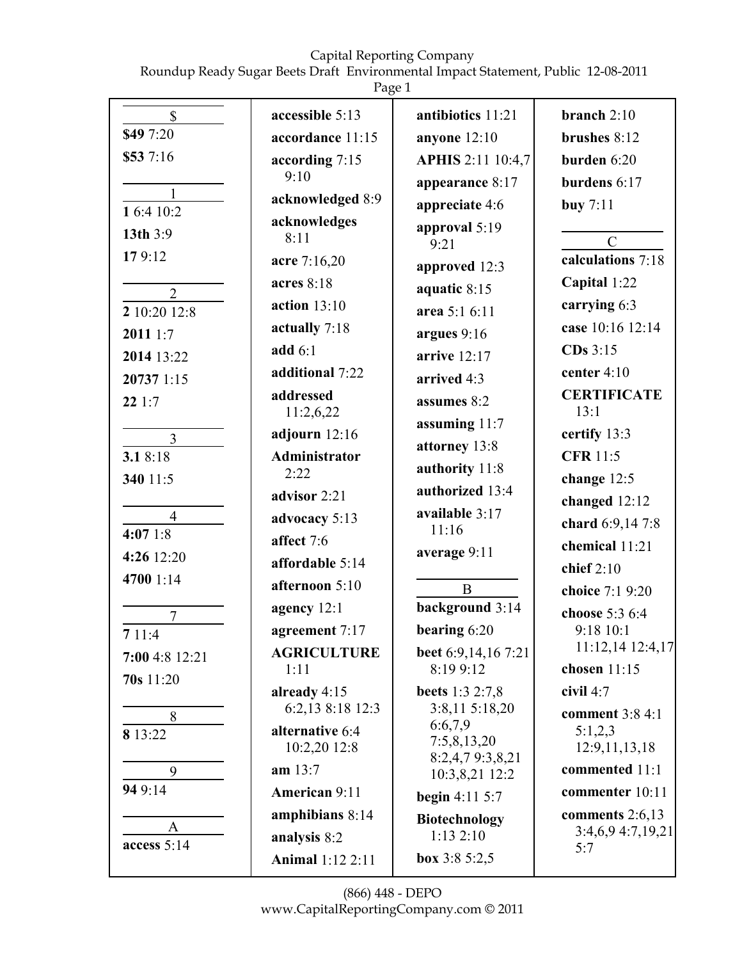Roundup Ready Sugar Beets Draft Environmental Impact Statement, Public 12-08-2011

|--|

|                                | ပ                            |                                  |                                        |
|--------------------------------|------------------------------|----------------------------------|----------------------------------------|
| $\mathbb{S}$                   | accessible 5:13              | antibiotics 11:21                | branch $2:10$                          |
| \$49 7:20                      | accordance 11:15             | anyone 12:10                     | brushes $8:12$                         |
| \$53 7:16                      | according 7:15               | <b>APHIS 2:11 10:4,7</b>         | burden 6:20                            |
|                                | 9:10                         | appearance 8:17                  | burdens 6:17                           |
| $\mathbf{1}$<br>1 6:4 10:2     | acknowledged 8:9             | appreciate 4:6                   | buy $7:11$                             |
| 13th 3:9                       | acknowledges<br>8:11         | approval 5:19<br>9:21            | $\mathcal{C}$                          |
| 179:12                         | acre 7:16,20                 | approved 12:3                    | calculations 7:18                      |
|                                | acres 8:18                   | aquatic 8:15                     | Capital 1:22                           |
| $\overline{2}$<br>2 10:20 12:8 | action $13:10$               | area 5:1 6:11                    | carrying 6:3                           |
|                                | actually 7:18                |                                  | case 10:16 12:14                       |
| 2011 1:7                       | add $6:1$                    | argues $9:16$<br>arrive $12:17$  | $CDs$ 3:15                             |
| 2014 13:22                     | additional 7:22              |                                  | center $4:10$                          |
| 20737 1:15<br>221:7            | addressed                    | arrived 4:3<br>assumes 8:2       | <b>CERTIFICATE</b>                     |
|                                | 11:2,6,22                    | assuming 11:7                    | 13:1                                   |
| $\overline{3}$                 | adjourn $12:16$              | attorney 13:8                    | certify 13:3                           |
| 3.18:18                        | <b>Administrator</b><br>2:22 | authority 11:8                   | <b>CFR 11:5</b>                        |
| 340 11:5                       | advisor 2:21                 | authorized 13:4                  | change 12:5                            |
| $\overline{4}$                 | advocacy 5:13                | available 3:17                   | changed 12:12                          |
| 4:071:8                        | affect 7:6                   | 11:16                            | chard 6:9,14 7:8                       |
| 4:26 12:20                     | affordable 5:14              | average 9:11                     | chemical 11:21                         |
| 4700 1:14                      | afternoon 5:10               |                                  | chief $2:10$                           |
|                                |                              | $\mathbf B$<br>background 3:14   | choice 7:1 9:20                        |
| $\overline{7}$                 | agency 12:1                  | bearing $6:20$                   | choose 5:3 6:4                         |
| 711:4                          | agreement 7:17               |                                  | 9:18 10:1<br>11:12,14 12:4,17          |
| 7:00 4:8 12:21                 | <b>AGRICULTURE</b><br>1:11   | beet 6:9,14,16 7:21<br>8:19 9:12 | chosen $11:15$                         |
| 70s 11:20                      | already $4:15$               | <b>beets</b> 1:3 2:7,8           | civil $4:7$                            |
| 8                              | 6:2,13 8:18 12:3             | 3:8,11 5:18,20                   | comment 3:8 4:1                        |
| 8 13:22                        | alternative 6:4              | 6:6,7,9<br>7:5,8,13,20           | 5:1,2,3                                |
|                                | 10:2,20 12:8<br>am 13:7      | 8:2,4,79:3,8,21                  | 12:9,11,13,18<br>commented 11:1        |
| 9<br>94 9:14                   |                              | 10:3,8,21 12:2                   |                                        |
|                                | American 9:11                | <b>begin</b> 4:11 5:7            | commenter 10:11                        |
| A                              | amphibians 8:14              | <b>Biotechnology</b><br>1:132:10 | comments $2:6,13$<br>3:4,6,9 4:7,19,21 |
| access $5:14$                  | analysis 8:2                 |                                  | 5:7                                    |
|                                | Animal 1:12 2:11             | box $3:85:2,5$                   |                                        |

(866) 448 - DEPO www.CapitalReportingCompany.com © 2011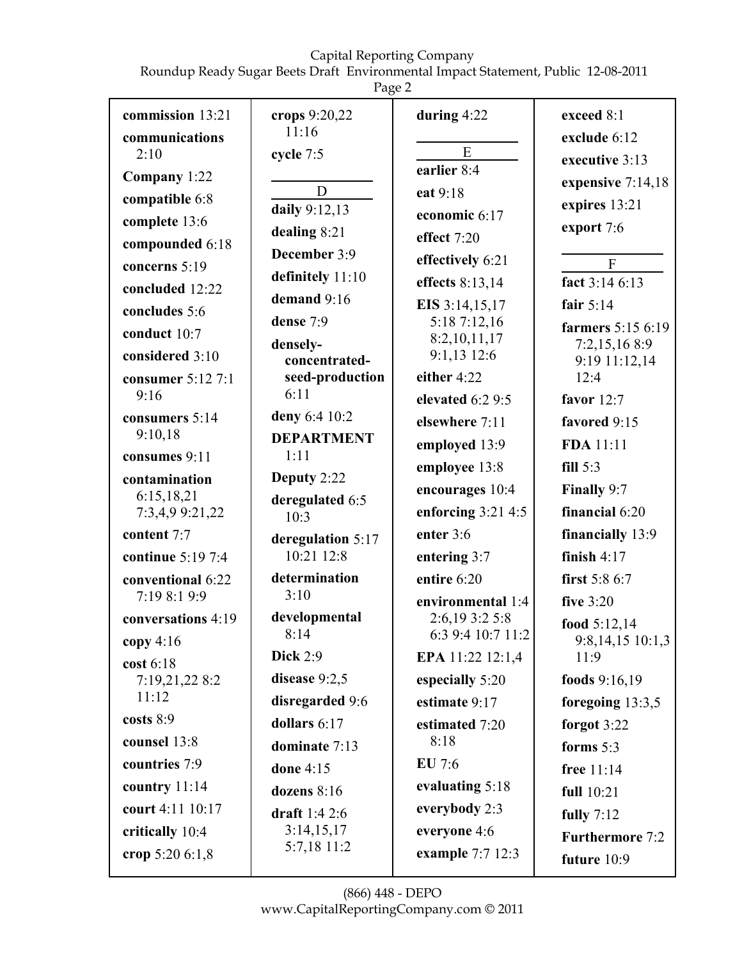Roundup Ready Sugar Beets Draft Environmental Impact Statement, Public 12-08-2011

Page 2

|                                                                                                                                                                       | ပ                                                                                                                                         |                                                                                                                                                       |                                                                                                                                                             |
|-----------------------------------------------------------------------------------------------------------------------------------------------------------------------|-------------------------------------------------------------------------------------------------------------------------------------------|-------------------------------------------------------------------------------------------------------------------------------------------------------|-------------------------------------------------------------------------------------------------------------------------------------------------------------|
| commission 13:21<br>communications<br>2:10<br>Company 1:22<br>compatible 6:8<br>complete 13:6<br>compounded 6:18<br>concerns 5:19<br>concluded 12:22<br>concludes 5:6 | crops 9:20,22<br>11:16<br>cycle 7:5<br>D<br>daily 9:12,13<br>dealing 8:21<br>December 3:9<br>definitely 11:10<br>demand 9:16<br>dense 7:9 | during $4:22$<br>E<br>earlier 8:4<br>eat 9:18<br>economic 6:17<br>effect 7:20<br>effectively 6:21<br>effects 8:13,14<br>EIS 3:14,15,17<br>5:187:12,16 | exceed 8:1<br>exclude 6:12<br>executive 3:13<br>expensive 7:14,18<br>expires 13:21<br>export 7:6<br>F<br>fact 3:14 6:13<br>fair $5:14$<br>farmers 5:15 6:19 |
| conduct 10:7<br>considered 3:10                                                                                                                                       | densely-<br>concentrated-                                                                                                                 | 8:2,10,11,17<br>9:1,13 12:6                                                                                                                           | 7:2,15,168:9<br>9:19 11:12,14                                                                                                                               |
| consumer 5:12 7:1                                                                                                                                                     | seed-production                                                                                                                           | either 4:22                                                                                                                                           | 12:4                                                                                                                                                        |
| 9:16                                                                                                                                                                  | 6:11                                                                                                                                      | elevated 6:2 9:5                                                                                                                                      | favor $12:7$                                                                                                                                                |
| consumers 5:14                                                                                                                                                        | deny 6:4 10:2                                                                                                                             | elsewhere 7:11                                                                                                                                        | favored 9:15                                                                                                                                                |
| 9:10,18                                                                                                                                                               | <b>DEPARTMENT</b><br>1:11                                                                                                                 | employed 13:9                                                                                                                                         | FDA 11:11                                                                                                                                                   |
| consumes 9:11<br>contamination                                                                                                                                        | Deputy 2:22                                                                                                                               | employee 13:8                                                                                                                                         | fill $5:3$                                                                                                                                                  |
| 6:15,18,21                                                                                                                                                            | deregulated 6:5                                                                                                                           | encourages 10:4                                                                                                                                       | Finally 9:7                                                                                                                                                 |
| 7:3,4,9 9:21,22                                                                                                                                                       | 10:3                                                                                                                                      | enforcing $3:21$ 4:5                                                                                                                                  | financial 6:20                                                                                                                                              |
| content 7:7                                                                                                                                                           | deregulation 5:17                                                                                                                         | enter 3:6                                                                                                                                             | financially 13:9                                                                                                                                            |
| continue 5:19 7:4                                                                                                                                                     | 10:21 12:8                                                                                                                                | entering 3:7                                                                                                                                          | finish $4:17$                                                                                                                                               |
| conventional 6:22<br>7:19 8:1 9:9                                                                                                                                     | determination<br>3:10                                                                                                                     | entire 6:20                                                                                                                                           | first 5:8 6:7                                                                                                                                               |
| conversations 4:19                                                                                                                                                    | developmental                                                                                                                             | environmental 1:4<br>2:6,19 3:2 5:8                                                                                                                   | five $3:20$                                                                                                                                                 |
| copy $4:16$                                                                                                                                                           | 8:14                                                                                                                                      | 6:3 9:4 10:7 11:2                                                                                                                                     | food $5:12,14$<br>9:8,14,15 10:1,3                                                                                                                          |
| cost 6:18                                                                                                                                                             | Dick $2:9$                                                                                                                                | EPA 11:22 12:1,4                                                                                                                                      | 11:9                                                                                                                                                        |
| 7:19,21,22 8:2                                                                                                                                                        | disease 9:2,5                                                                                                                             | especially 5:20                                                                                                                                       | foods 9:16,19                                                                                                                                               |
| 11:12                                                                                                                                                                 | disregarded 9:6                                                                                                                           | estimate 9:17                                                                                                                                         | foregoing $13:3,5$                                                                                                                                          |
| costs $8:9$                                                                                                                                                           | dollars $6:17$                                                                                                                            | estimated 7:20                                                                                                                                        | forgot 3:22                                                                                                                                                 |
| counsel 13:8                                                                                                                                                          | dominate 7:13                                                                                                                             | 8:18                                                                                                                                                  | forms $5:3$                                                                                                                                                 |
| countries 7:9                                                                                                                                                         | done 4:15                                                                                                                                 | EU 7:6                                                                                                                                                | free 11:14                                                                                                                                                  |
| country 11:14                                                                                                                                                         | dozens $8:16$                                                                                                                             | evaluating 5:18                                                                                                                                       | full 10:21                                                                                                                                                  |
| court 4:11 10:17                                                                                                                                                      | draft $1:42:6$                                                                                                                            | everybody 2:3                                                                                                                                         | fully $7:12$                                                                                                                                                |
| critically 10:4                                                                                                                                                       | 3:14,15,17<br>5:7,18 11:2                                                                                                                 | everyone 4:6                                                                                                                                          | <b>Furthermore 7:2</b>                                                                                                                                      |
| crop 5:20 6:1,8                                                                                                                                                       |                                                                                                                                           | example 7:7 12:3                                                                                                                                      | future 10:9                                                                                                                                                 |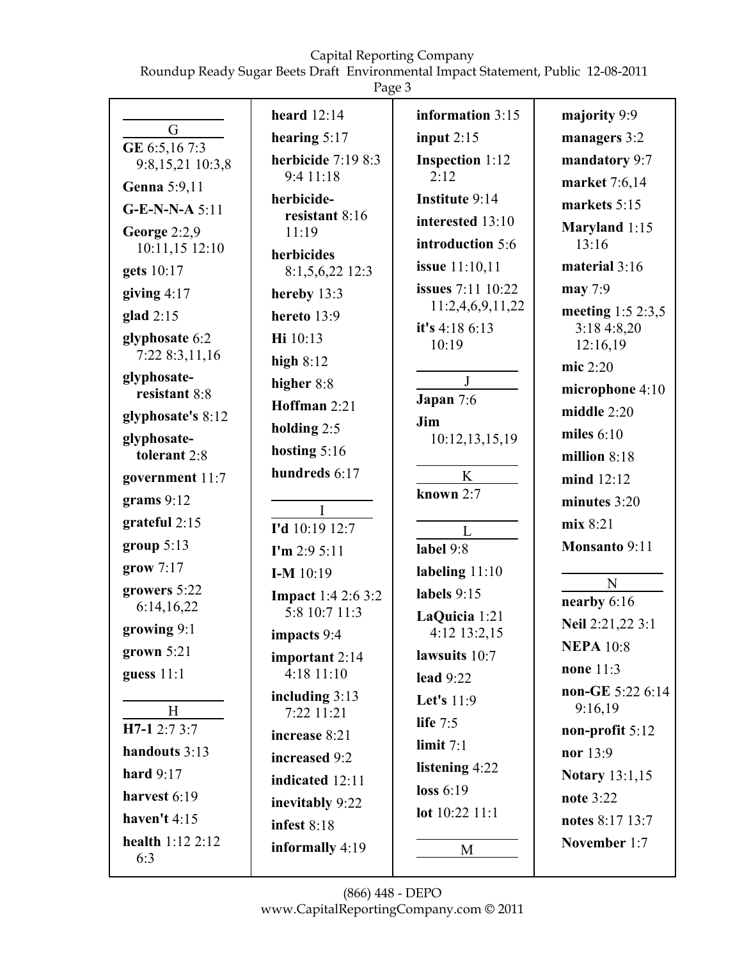Roundup Ready Sugar Beets Draft Environmental Impact Statement, Public 12-08-2011

|                                    | heard $12:14$                  | information 3:15        | majority 9:9               |
|------------------------------------|--------------------------------|-------------------------|----------------------------|
| G                                  | hearing 5:17                   | input $2:15$            | managers 3:2               |
| GE 6:5,16 7:3<br>9:8,15,21 10:3,8  | herbicide $7:198:3$            | Inspection 1:12         | mandatory 9:7              |
| Genna 5:9,11                       | 9:4 11:18                      | 2:12                    | market 7:6,14              |
| $G-E-N-N-A 5:11$                   | herbicide-                     | Institute 9:14          | markets 5:15               |
| George 2:2,9                       | resistant 8:16<br>11:19        | interested 13:10        | Maryland 1:15              |
| 10:11,15 12:10                     | herbicides                     | introduction 5:6        | 13:16                      |
| gets 10:17                         | 8:1,5,6,22 12:3                | issue 11:10,11          | material $3:16$            |
| giving $4:17$                      | hereby 13:3                    | issues 7:11 10:22       | may 7:9                    |
| glad $2:15$                        | hereto 13:9                    | 11:2,4,6,9,11,22        | meeting 1:5 2:3,5          |
| glyphosate 6:2                     | Hi 10:13                       | it's 4:18 6:13<br>10:19 | 3:184:8,20<br>12:16,19     |
| 7:22 8:3,11,16                     | high $8:12$                    |                         | mic 2:20                   |
| glyphosate-<br>resistant 8:8       | higher 8:8                     | $\mathbf{J}$            | microphone 4:10            |
| glyphosate's 8:12                  | Hoffman 2:21                   | Japan 7:6               | middle $2:20$              |
| glyphosate-                        | holding $2:5$                  | Jim<br>10:12,13,15,19   | miles $6:10$               |
| tolerant 2:8                       | hosting $5:16$                 |                         | million $8:18$             |
| government 11:7                    | hundreds 6:17                  | K                       | $mind$ 12:12               |
| grams $9:12$                       |                                | known $2:7$             | minutes $3:20$             |
| grateful 2:15                      | I<br>I'd 10:19 12:7            | L                       | mix 8:21                   |
| group $5:13$                       | $\Gamma$ m 2:9 5:11            | label 9:8               | Monsanto 9:11              |
| grow 7:17                          | $I-M$ 10:19                    | labeling 11:10          |                            |
| growers 5:22                       | <b>Impact</b> 1:4 2:6 3:2      | labels $9:15$           | $\mathbf N$<br>nearby 6:16 |
| 6:14,16,22                         | 5:8 10:7 11:3                  | LaQuicia 1:21           | Neil 2:21,22 3:1           |
| growing 9:1                        | impacts $9:4$                  | 4:12 13:2,15            | <b>NEPA 10:8</b>           |
| grown $5:21$                       | important 2:14                 | lawsuits 10:7           | none $11:3$                |
| guess 11:1                         | 4:18 11:10                     | lead $9:22$             | non-GE 5:22 6:14           |
| H                                  | including $3:13$<br>7:22 11:21 | Let's 11:9              | 9:16,19                    |
| H7-1 2:7 3:7                       | increase 8:21                  | life $7:5$              | non-profit 5:12            |
| handouts 3:13                      | increased 9:2                  | limit $7:1$             | nor 13:9                   |
| hard $9:17$                        | indicated 12:11                | listening 4:22          | <b>Notary</b> 13:1,15      |
| harvest 6:19                       | inevitably 9:22                | loss $6:19$             | note 3:22                  |
| haven't $4:15$                     | infest $8:18$                  | lot 10:22 11:1          | notes 8:17 13:7            |
| <b>health</b> $1:12$ $2:12$<br>6:3 | informally 4:19                | M                       | November 1:7               |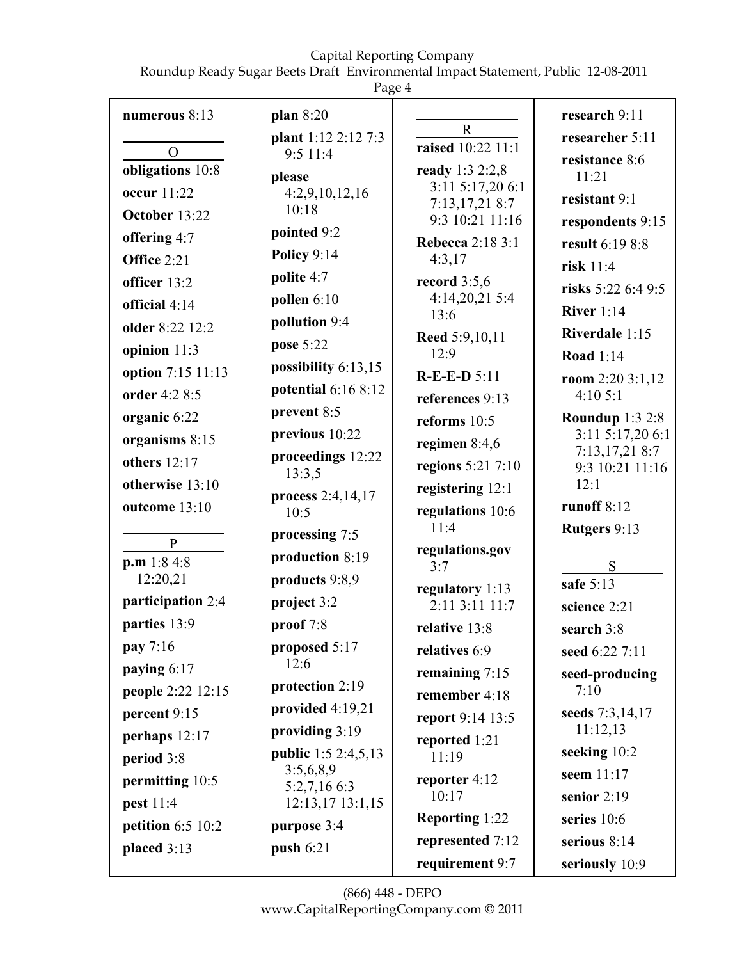Roundup Ready Sugar Beets Draft Environmental Impact Statement, Public 12-08-2011

Page 4

|                                    | ပ                                    |                                     |                                   |
|------------------------------------|--------------------------------------|-------------------------------------|-----------------------------------|
| numerous 8:13                      | plan 8:20                            | $\mathbf R$                         | research 9:11                     |
|                                    | plant 1:12 2:12 7:3                  | raised 10:22 11:1                   | researcher 5:11                   |
| $\overline{O}$<br>obligations 10:8 | 9:5 11:4                             | ready 1:3 2:2,8                     | resistance 8:6                    |
| occur 11:22                        | please<br>4:2,9,10,12,16             | 3:11 5:17,20 6:1                    | 11:21                             |
| October 13:22                      | 10:18                                | 7:13,17,21 8:7                      | resistant 9:1                     |
| offering 4:7                       | pointed 9:2                          | 9:3 10:21 11:16                     | respondents 9:15                  |
| Office 2:21                        | Policy 9:14                          | <b>Rebecca</b> 2:18 3:1<br>4:3,17   | result 6:19 8:8                   |
|                                    | polite 4:7                           | record $3:5,6$                      | risk $11:4$                       |
| officer 13:2                       | pollen $6:10$                        | 4:14,20,21 5:4                      | risks $5:226:49:5$                |
| official $4:14$                    | pollution 9:4                        | 13:6                                | River $1:14$                      |
| older 8:22 12:2                    | pose 5:22                            | Reed 5:9,10,11                      | Riverdale 1:15                    |
| opinion $11:3$                     | possibility 6:13,15                  | 12:9                                | <b>Road</b> 1:14                  |
| option 7:15 11:13                  | potential 6:16 8:12                  | $R-E-E-D 5:11$                      | room $2:203:1,12$                 |
| order 4:2 8:5                      | prevent 8:5                          | references 9:13                     | 4:105:1                           |
| organic 6:22                       |                                      | reforms $10:5$                      | <b>Roundup 1:3 2:8</b>            |
| organisms 8:15                     | previous 10:22                       | regimen $8:4,6$                     | 3:11 5:17,20 6:1<br>7:13,17,218:7 |
| others 12:17                       | proceedings 12:22<br>13:3,5          | regions 5:21 7:10                   | 9:3 10:21 11:16                   |
| otherwise 13:10                    | process 2:4,14,17                    | registering 12:1                    | 12:1                              |
| outcome 13:10                      | 10:5                                 | regulations 10:6                    | runoff $8:12$                     |
|                                    | processing 7:5                       | 11:4                                | Rutgers 9:13                      |
| $\mathbf{P}$<br>p.m 1:8 4:8        | production 8:19                      | regulations.gov                     |                                   |
| 12:20,21                           | products 9:8,9                       | 3:7                                 | S<br>safe 5:13                    |
| participation 2:4                  | project 3:2                          | regulatory 1:13<br>$2:11$ 3:11 11:7 | science 2:21                      |
| parties 13:9                       | proof $7:8$                          | relative 13:8                       | search 3:8                        |
| <b>pay</b> 7:16                    | proposed 5:17                        | relatives 6:9                       | seed 6:22 7:11                    |
| paying 6:17                        | 12:6                                 | remaining 7:15                      | seed-producing                    |
| people 2:22 12:15                  | protection 2:19                      | remember 4:18                       | 7:10                              |
| percent 9:15                       | provided $4:19,21$                   | report 9:14 13:5                    | seeds 7:3,14,17                   |
| perhaps $12:17$                    | providing 3:19                       | reported 1:21                       | 11:12,13                          |
| period 3:8                         | <b>public</b> 1:5 2:4,5,13           | 11:19                               | seeking 10:2                      |
| permitting 10:5                    | 3:5,6,8,9                            | reporter 4:12                       | seem 11:17                        |
| pest 11:4                          | 5:2,7,16 6:3<br>$12:13,17$ $13:1,15$ | 10:17                               | senior $2:19$                     |
| petition $6:5$ 10:2                | purpose 3:4                          | Reporting 1:22                      | series 10:6                       |
| placed $3:13$                      | push 6:21                            | represented 7:12                    | serious $8:14$                    |
|                                    |                                      | requirement 9:7                     | seriously 10:9                    |